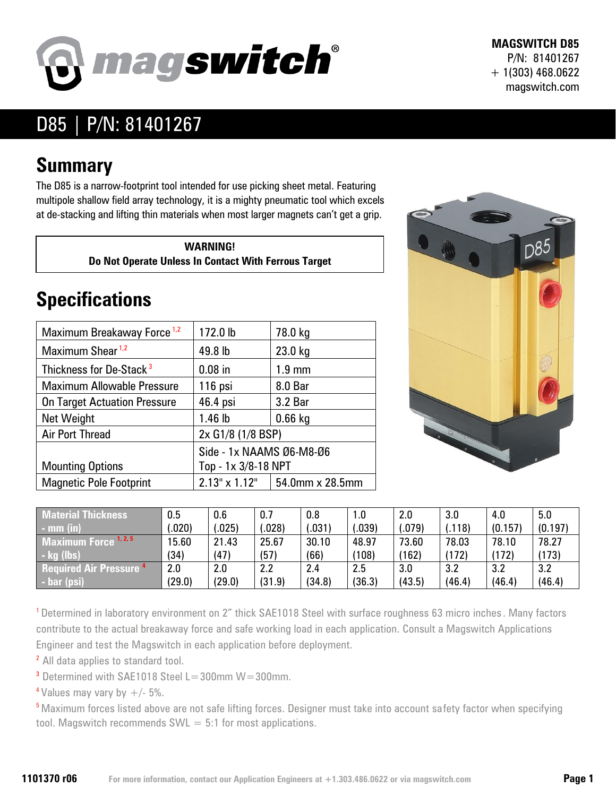

**MAGSWITCH D85** P/N: 81401267 + 1(303) 468.0622 magswitch.com

## D85 | P/N: 81401267

## **Summary**

The D85 is a narrow-footprint tool intended for use picking sheet metal. Featuring multipole shallow field array technology, it is a mighty pneumatic tool which excels at de-stacking and lifting thin materials when most larger magnets can't get a grip.

> **WARNING! Do Not Operate Unless In Contact With Ferrous Target**

## **Specifications**

| Maximum Breakaway Force <sup>1,2</sup> | 172.0 lb                 | 78.0 kg                              |  |  |  |
|----------------------------------------|--------------------------|--------------------------------------|--|--|--|
| Maximum Shear <sup>1,2</sup>           | 49.8 lb                  | 23.0 kg                              |  |  |  |
| Thickness for De-Stack <sup>3</sup>    | $0.08$ in                | $1.9 \text{ mm}$                     |  |  |  |
| <b>Maximum Allowable Pressure</b>      | 116 psi                  | 8.0 Bar                              |  |  |  |
| <b>On Target Actuation Pressure</b>    | 46.4 psi                 | 3.2 Bar                              |  |  |  |
| Net Weight                             | 1.46 lb                  | $0.66$ kg                            |  |  |  |
| <b>Air Port Thread</b>                 | 2x G1/8 (1/8 BSP)        |                                      |  |  |  |
|                                        | Side - 1x NAAMS Ø6-M8-Ø6 |                                      |  |  |  |
| <b>Mounting Options</b>                | Top - 1x 3/8-18 NPT      |                                      |  |  |  |
| <b>Magnetic Pole Footprint</b>         |                          | $2.13" \times 1.12"$ 54.0mm x 28.5mm |  |  |  |



| <b>Material Thickness</b>            | $0.5\,$ | 0.6    | 0.7    | 0.8    | 1.0    | 2.0    | 3.0           | 4.0     | 5.0     |
|--------------------------------------|---------|--------|--------|--------|--------|--------|---------------|---------|---------|
| $-$ mm (in)                          | .020)   | .025)  | .028   | .031   | .039)  | .079)  | .118)         | (0.157) | (0.197) |
| Maximum Force 1, 2, 5                | 15.60   | 21.43  | 25.67  | 30.10  | 48.97  | 73.60  | 78.03         | 78.10   | 78.27   |
| $\mathsf{I}$ - kg (lbs)              | (34)    | (47)   | (57)   | (66)   | (108)  | (162)  | $ 172\rangle$ | (172)   | (173)   |
| <b>Required Air Pressure 4</b>       | 2.0     | 2.0    | 2.2    | 2.4    | 2.5    | 3.0    | 3.2           | 3.2     | 3.2     |
| $\overline{\phantom{a}}$ - bar (psi) | (29.0)  | (29.0) | (31.9) | (34.8) | (36.3) | (43.5) | (46.4)        | (46.4)  | (46.4)  |

<sup>1</sup> Determined in laboratory environment on 2" thick SAE1018 Steel with surface roughness 63 micro inches. Many factors contribute to the actual breakaway force and safe working load in each application. Consult a Magswitch Applications Engineer and test the Magswitch in each application before deployment.

<sup>2</sup> All data applies to standard tool.

 $3$  Determined with SAE1018 Steel L=300mm W=300mm.

<sup>4</sup> Values may vary by  $+/- 5\%$ .

<sup>5</sup> Maximum forces listed above are not safe lifting forces. Designer must take into account safety factor when specifying tool. Magswitch recommends  $SWL = 5:1$  for most applications.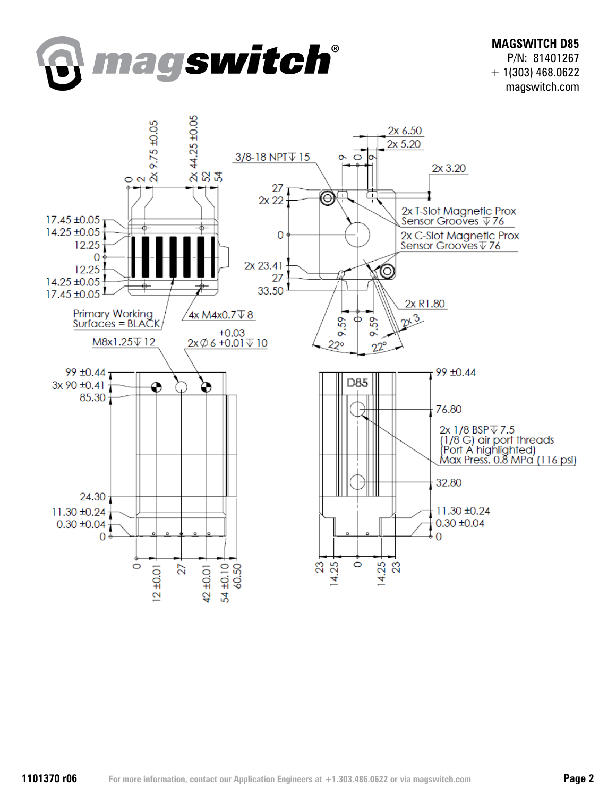